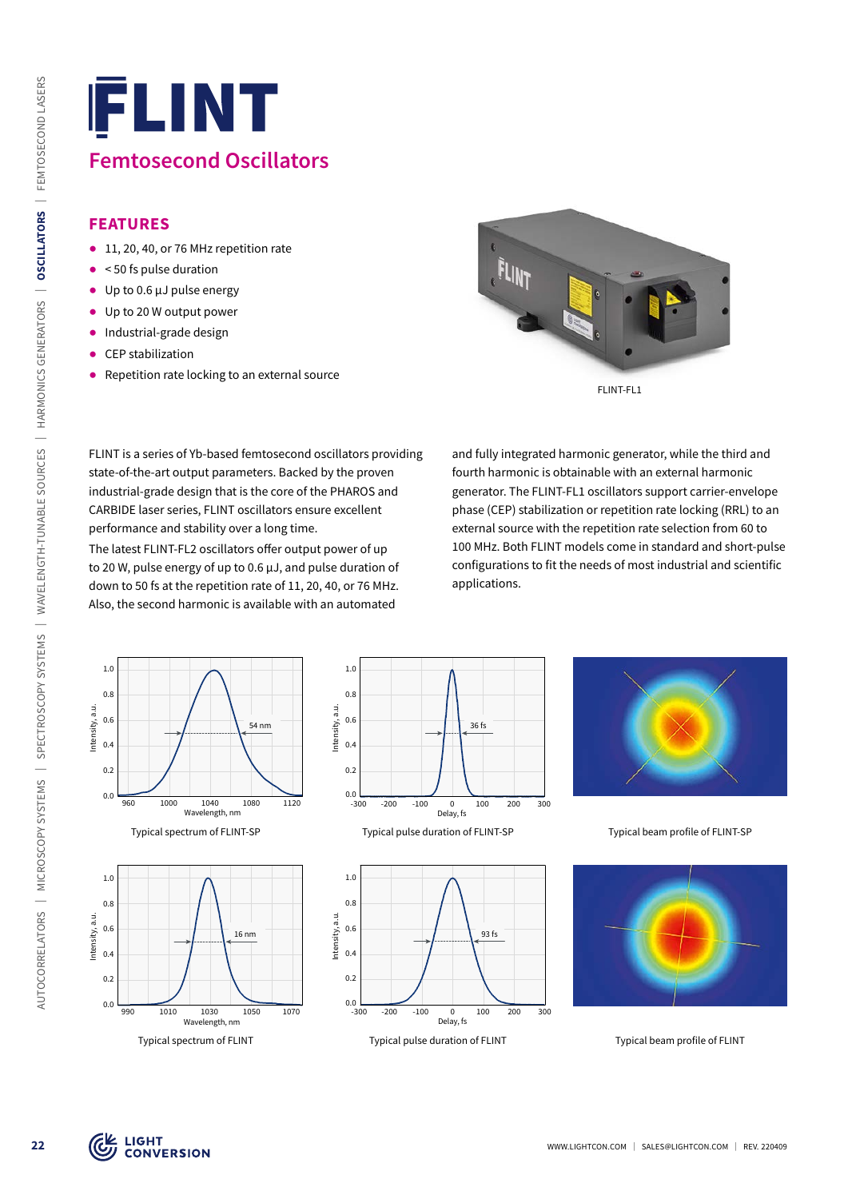#### **FEATURES**

- 11, 20, 40, or 76 MHz repetition rate
- $\bullet$  < 50 fs pulse duration
- $\bullet$  Up to 0.6  $\mu$ J pulse energy
- Up to 20 W output power
- ᰋ Industrial-grade design
- CEP stabilization
- Repetition rate locking to an external source



FLINT is a series of Yb-based femtosecond oscillators providing state-of-the-art output parameters. Backed by the proven industrial-grade design that is the core of the PHAROS and CARBIDE laser series, FLINT oscillators ensure excellent performance and stability over a long time.

The latest FLINT-FL2 oscillators offer output power of up to 20 W, pulse energy of up to 0.6 µJ, and pulse duration of down to 50 fs at the repetition rate of 11, 20, 40, or 76 MHz. Also, the second harmonic is available with an automated

and fully integrated harmonic generator, while the third and fourth harmonic is obtainable with an external harmonic generator. The FLINT-FL1 oscillators support carrier-envelope phase (CEP) stabilization or repetition rate locking (RRL) to an external source with the repetition rate selection from 60 to 100 MHz. Both FLINT models come in standard and short-pulse configurations to fit the needs of most industrial and scientific applications.











Typical spectrum of FLINT-SP Typical pulse duration of FLINT-SP Typical beam profile of FLINT-SP

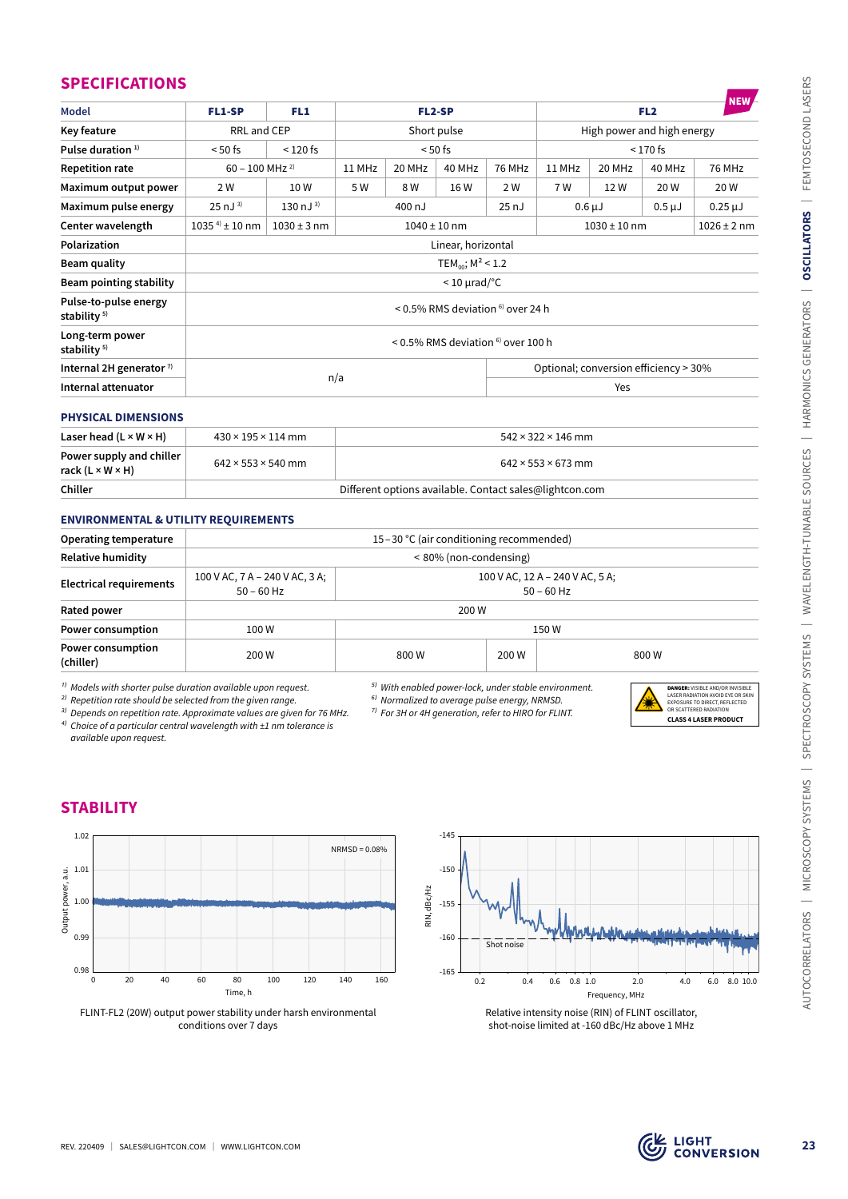#### **SPECIFICATIONS**

| Key feature<br>Pulse duration <sup>1)</sup><br><b>Repetition rate</b>                                                                                                                                                                                                                                                                                                                          | FL1-SP<br>FL1                                                                 |                | <b>FL2-SP</b>                                   |               |                        |                                                                                                                             | FL <sub>2</sub>                                                  |                                       |             | <b>NEW</b>                                                                          |
|------------------------------------------------------------------------------------------------------------------------------------------------------------------------------------------------------------------------------------------------------------------------------------------------------------------------------------------------------------------------------------------------|-------------------------------------------------------------------------------|----------------|-------------------------------------------------|---------------|------------------------|-----------------------------------------------------------------------------------------------------------------------------|------------------------------------------------------------------|---------------------------------------|-------------|-------------------------------------------------------------------------------------|
|                                                                                                                                                                                                                                                                                                                                                                                                | RRL and CEP                                                                   |                | Short pulse                                     |               |                        |                                                                                                                             | High power and high energy                                       |                                       |             |                                                                                     |
|                                                                                                                                                                                                                                                                                                                                                                                                | $<$ 120 fs<br>$< 50$ fs                                                       |                | $< 50$ fs                                       |               |                        |                                                                                                                             |                                                                  |                                       |             |                                                                                     |
|                                                                                                                                                                                                                                                                                                                                                                                                | $60 - 100$ MHz <sup>2)</sup>                                                  |                | 11 MHz                                          | 20 MHz        | 40 MHz                 | <b>76 MHz</b>                                                                                                               | 11 MHz                                                           | 20 MHz                                | 40 MHz      | <b>76 MHz</b>                                                                       |
| Maximum output power                                                                                                                                                                                                                                                                                                                                                                           | 2 W                                                                           | 10W            | 5 W                                             | 8 W           | 16 W                   | 2 W                                                                                                                         | 7 W                                                              | 12W                                   | 20 W        | 20 W                                                                                |
| Maximum pulse energy                                                                                                                                                                                                                                                                                                                                                                           | $25 \text{ nJ}^{3}$                                                           | 130 nJ $^{3)}$ |                                                 | 400 nJ        |                        | 25nJ                                                                                                                        |                                                                  | $0.6 \mu J$                           | $0.5 \mu J$ | $0.25 \mu J$                                                                        |
| Center wavelength                                                                                                                                                                                                                                                                                                                                                                              | $1035^{4}$ ± 10 nm<br>$1030 \pm 3$ nm<br>$1040 \pm 10$ nm<br>$1030 \pm 10$ nm |                |                                                 |               |                        |                                                                                                                             | $1026 \pm 2$ nm                                                  |                                       |             |                                                                                     |
| Polarization                                                                                                                                                                                                                                                                                                                                                                                   |                                                                               |                |                                                 |               | Linear, horizontal     |                                                                                                                             |                                                                  |                                       |             |                                                                                     |
| <b>Beam quality</b>                                                                                                                                                                                                                                                                                                                                                                            | TEM <sub>00</sub> ; $M^2$ < 1.2<br>$<$ 10 $\mu$ rad/°C                        |                |                                                 |               |                        |                                                                                                                             |                                                                  |                                       |             |                                                                                     |
| <b>Beam pointing stability</b><br>Pulse-to-pulse energy                                                                                                                                                                                                                                                                                                                                        |                                                                               |                |                                                 |               |                        |                                                                                                                             |                                                                  |                                       |             |                                                                                     |
| stability <sup>5)</sup><br>Long-term power                                                                                                                                                                                                                                                                                                                                                     |                                                                               |                |                                                 |               |                        | < 0.5% RMS deviation <sup>6)</sup> over 24 h                                                                                |                                                                  |                                       |             |                                                                                     |
| stability <sup>5)</sup>                                                                                                                                                                                                                                                                                                                                                                        |                                                                               |                |                                                 |               |                        | < 0.5% RMS deviation <sup>6)</sup> over 100 h                                                                               |                                                                  |                                       |             |                                                                                     |
| Internal 2H generator $7$                                                                                                                                                                                                                                                                                                                                                                      |                                                                               |                | n/a                                             |               |                        |                                                                                                                             |                                                                  | Optional; conversion efficiency > 30% |             |                                                                                     |
| Internal attenuator                                                                                                                                                                                                                                                                                                                                                                            |                                                                               |                |                                                 |               |                        |                                                                                                                             | Yes                                                              |                                       |             |                                                                                     |
| <b>PHYSICAL DIMENSIONS</b>                                                                                                                                                                                                                                                                                                                                                                     |                                                                               |                |                                                 |               |                        |                                                                                                                             |                                                                  |                                       |             |                                                                                     |
| Laser head $(L \times W \times H)$                                                                                                                                                                                                                                                                                                                                                             | $430 \times 195 \times 114$ mm                                                |                |                                                 |               |                        |                                                                                                                             | $542 \times 322 \times 146$ mm                                   |                                       |             |                                                                                     |
| Power supply and chiller<br>rack $(L \times W \times H)$                                                                                                                                                                                                                                                                                                                                       | $642 \times 553 \times 540$ mm                                                |                |                                                 |               |                        |                                                                                                                             | $642 \times 553 \times 673$ mm                                   |                                       |             |                                                                                     |
| Chiller                                                                                                                                                                                                                                                                                                                                                                                        |                                                                               |                |                                                 |               |                        |                                                                                                                             | Different options available. Contact sales@lightcon.com          |                                       |             |                                                                                     |
| <b>ENVIRONMENTAL &amp; UTILITY REQUIREMENTS</b>                                                                                                                                                                                                                                                                                                                                                |                                                                               |                |                                                 |               |                        |                                                                                                                             |                                                                  |                                       |             |                                                                                     |
| <b>Operating temperature</b>                                                                                                                                                                                                                                                                                                                                                                   |                                                                               |                |                                                 |               |                        | 15-30 °C (air conditioning recommended)                                                                                     |                                                                  |                                       |             |                                                                                     |
| <b>Relative humidity</b>                                                                                                                                                                                                                                                                                                                                                                       |                                                                               |                |                                                 |               | < 80% (non-condensing) |                                                                                                                             |                                                                  |                                       |             |                                                                                     |
| <b>Electrical requirements</b>                                                                                                                                                                                                                                                                                                                                                                 | 100 V AC, 7 A - 240 V AC, 3 A;<br>$50 - 60$ Hz                                |                | 100 V AC, 12 A - 240 V AC, 5 A;<br>$50 - 60$ Hz |               |                        |                                                                                                                             |                                                                  |                                       |             |                                                                                     |
| Rated power                                                                                                                                                                                                                                                                                                                                                                                    |                                                                               |                |                                                 |               | 200 W                  |                                                                                                                             |                                                                  |                                       |             |                                                                                     |
| Power consumption                                                                                                                                                                                                                                                                                                                                                                              | 100W                                                                          |                |                                                 |               |                        |                                                                                                                             | 150W                                                             |                                       |             |                                                                                     |
|                                                                                                                                                                                                                                                                                                                                                                                                |                                                                               | 200 W          |                                                 | 800W<br>200 W |                        |                                                                                                                             | 800W                                                             |                                       |             |                                                                                     |
|                                                                                                                                                                                                                                                                                                                                                                                                |                                                                               |                |                                                 |               |                        |                                                                                                                             | <sup>5)</sup> With enabled power-lock, under stable environment. |                                       |             | <b>DANGER:</b> VISIBLE AND/OR INVISIBLE<br>LASER RADIATION AVOID FYE OR SKIN        |
|                                                                                                                                                                                                                                                                                                                                                                                                |                                                                               |                |                                                 |               |                        | <sup>6)</sup> Normalized to average pulse energy, NRMSD.<br><sup>7)</sup> For 3H or 4H generation, refer to HIRO for FLINT. |                                                                  |                                       |             | EXPOSURE TO DIRECT REFLECTED<br>SCATTERED RADIATION<br><b>CLASS 4 LASER PRODUCT</b> |
| available upon request.                                                                                                                                                                                                                                                                                                                                                                        |                                                                               |                |                                                 |               |                        |                                                                                                                             |                                                                  |                                       |             |                                                                                     |
| Power consumption<br>(chiller)<br><sup>1)</sup> Models with shorter pulse duration available upon request.<br><sup>2)</sup> Repetition rate should be selected from the given range.<br><sup>3)</sup> Depends on repetition rate. Approximate values are given for 76 MHz.<br><sup>4)</sup> Choice of a particular central wavelength with $\pm 1$ nm tolerance is<br><b>STABILITY</b><br>1.02 |                                                                               |                | $NRMSD = 0.08%$                                 |               | $-145$                 |                                                                                                                             |                                                                  |                                       |             |                                                                                     |
| 1.01                                                                                                                                                                                                                                                                                                                                                                                           |                                                                               |                |                                                 |               | $-150$                 |                                                                                                                             |                                                                  |                                       |             |                                                                                     |
|                                                                                                                                                                                                                                                                                                                                                                                                |                                                                               |                |                                                 |               |                        |                                                                                                                             |                                                                  |                                       |             |                                                                                     |
| 1.00                                                                                                                                                                                                                                                                                                                                                                                           |                                                                               |                |                                                 |               | $-155$                 |                                                                                                                             |                                                                  |                                       |             |                                                                                     |
| Output power, a.u.<br>0.99                                                                                                                                                                                                                                                                                                                                                                     |                                                                               |                |                                                 | RIN, dBc/Hz   | $-160$                 |                                                                                                                             |                                                                  |                                       |             |                                                                                     |
|                                                                                                                                                                                                                                                                                                                                                                                                |                                                                               |                |                                                 |               |                        | Shot noise                                                                                                                  |                                                                  |                                       |             |                                                                                     |
| 0.98<br>20<br>40<br>0                                                                                                                                                                                                                                                                                                                                                                          | 60<br>80                                                                      | 100<br>120     | 140<br>160                                      |               | $-165$<br>0.2          | 0.4                                                                                                                         | $0.8$ 1.0<br>0.6                                                 | 2.0                                   | 4.0         | 6.0<br>8.0 10.0                                                                     |

#### **PHYSICAL DIMENSIONS**

| Laser head $(L \times W \times H)$                       | $430 \times 195 \times 114$ mm                          | $542 \times 322 \times 146$ mm |  |  |
|----------------------------------------------------------|---------------------------------------------------------|--------------------------------|--|--|
| Power supply and chiller<br>rack $(L \times W \times H)$ | $642 \times 553 \times 540$ mm                          | $642 \times 553 \times 673$ mm |  |  |
| Chiller                                                  | Different options available. Contact sales@lightcon.com |                                |  |  |

#### **ENVIRONMENTAL & UTILITY REQUIREMENTS**

| <b>Operating temperature</b>          | 15-30 °C (air conditioning recommended)        |       |                                                 |       |  |  |
|---------------------------------------|------------------------------------------------|-------|-------------------------------------------------|-------|--|--|
| <b>Relative humidity</b>              | < 80% (non-condensing)                         |       |                                                 |       |  |  |
| <b>Electrical requirements</b>        | 100 V AC, 7 A - 240 V AC, 3 A;<br>$50 - 60$ Hz |       | 100 V AC, 12 A - 240 V AC, 5 A;<br>$50 - 60$ Hz |       |  |  |
| Rated power                           | 200 W                                          |       |                                                 |       |  |  |
| <b>Power consumption</b>              | 100 W                                          | 150W  |                                                 |       |  |  |
| <b>Power consumption</b><br>(chiller) | 200 W                                          | 800 W | 200 W                                           | 800 W |  |  |

- *⁵⁾ With enabled power-lock, under stable environment.*
- *⁶⁾ Normalized to average pulse energy, NRMSD. ⁷⁾ For 3H or 4H generation, refer to HIRO for FLINT.*
- DANGER: VISIBLE AND/OR INVISIBLE LASER RADIATION AVOID EYE OR SKIN EXPOSURE TO DIRECT, REFLECTED OR SCATTERED RADIATION **CLASS 4 LASER PRODUCT**



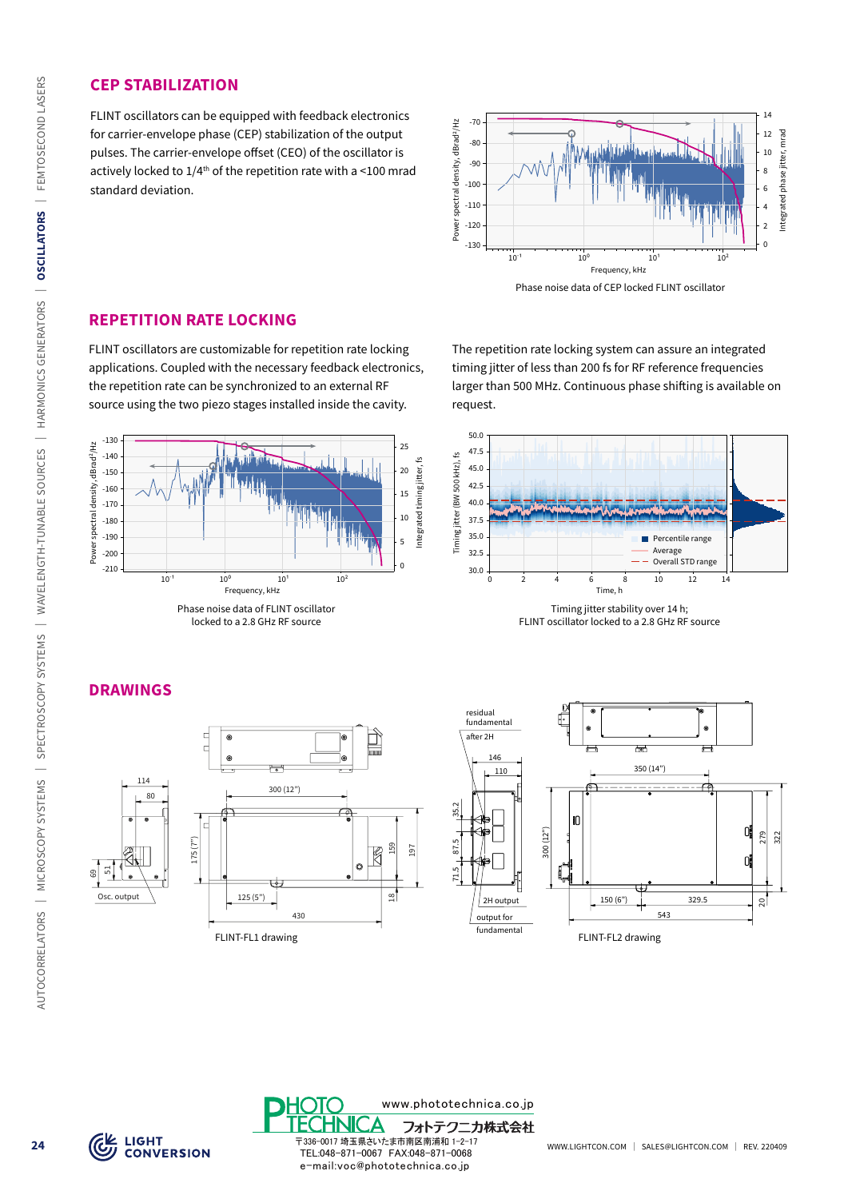#### **CEP STABILIZATION**

FLINT oscillators can be equipped with feedback electronics for carrier-envelope phase (CEP) stabilization of the output pulses. The carrier-envelope offset (CEO) of the oscillator is actively locked to  $1/4^{th}$  of the repetition rate with a <100 mrad standard deviation.



Phase noise data of CEP locked FLINT oscillator

#### **REPETITION RATE LOCKING**

FLINT oscillators are customizable for repetition rate locking applications. Coupled with the necessary feedback electronics, the repetition rate can be synchronized to an external RF source using the two piezo stages installed inside the cavity.



The repetition rate locking system can assure an integrated timing jitter of less than 200 fs for RF reference frequencies larger than 500 MHz. Continuous phase shifting is available on request.



FLINT oscillator locked to a 2.8 GHz RF source

## **DRAWINGS**